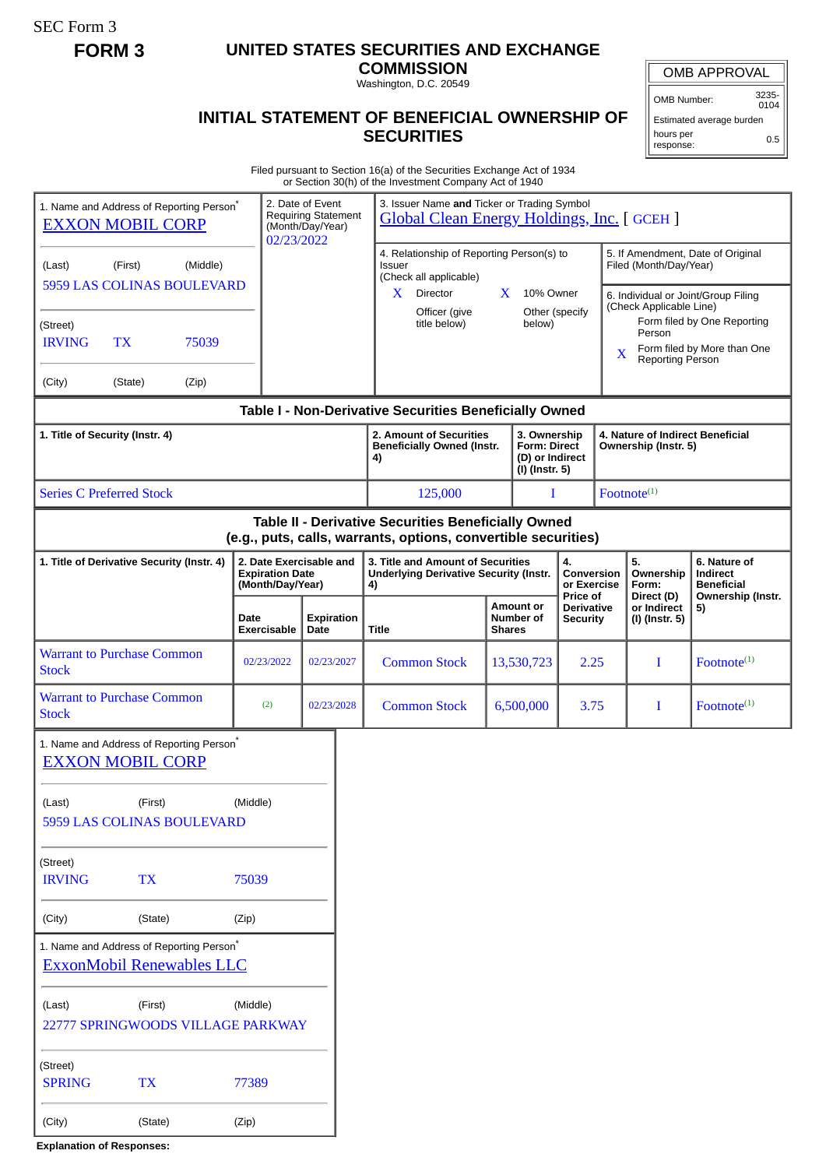SEC Form 3

## **FORM 3 UNITED STATES SECURITIES AND EXCHANGE**

**COMMISSION** Washington, D.C. 20549

OMB APPROVAL

OMB Number: 3235- 0104

## **INITIAL STATEMENT OF BENEFICIAL OWNERSHIP OF SECURITIES**

Estimated average burden hours per response: 0.5

Filed pursuant to Section 16(a) of the Securities Exchange Act of 1934 or Section 30(h) of the Investment Company Act of 1940

|                                                                                                                       |                                                                       |                                                                    | or occupit objit) or the investment company net or <b>1</b>                                     |               |                                                                          |                                             |                                                                |                                             |                                                            |  |
|-----------------------------------------------------------------------------------------------------------------------|-----------------------------------------------------------------------|--------------------------------------------------------------------|-------------------------------------------------------------------------------------------------|---------------|--------------------------------------------------------------------------|---------------------------------------------|----------------------------------------------------------------|---------------------------------------------|------------------------------------------------------------|--|
| 1. Name and Address of Reporting Person <sup>®</sup><br><b>EXXON MOBIL CORP</b>                                       | 02/23/2022                                                            | 2. Date of Event<br><b>Requiring Statement</b><br>(Month/Day/Year) | 3. Issuer Name and Ticker or Trading Symbol<br><b>Global Clean Energy Holdings, Inc. [GCEH]</b> |               |                                                                          |                                             |                                                                |                                             |                                                            |  |
| (Middle)<br>(First)<br>(Last)<br>5959 LAS COLINAS BOULEVARD                                                           |                                                                       |                                                                    | 4. Relationship of Reporting Person(s) to<br><b>Issuer</b><br>(Check all applicable)            |               |                                                                          |                                             | 5. If Amendment, Date of Original<br>Filed (Month/Day/Year)    |                                             |                                                            |  |
|                                                                                                                       |                                                                       |                                                                    | Director<br>X.<br>Officer (give                                                                 | X.            | 10% Owner<br>Other (specify                                              |                                             | 6. Individual or Joint/Group Filing<br>(Check Applicable Line) |                                             |                                                            |  |
| (Street)<br><b>IRVING</b><br><b>TX</b><br>75039                                                                       |                                                                       |                                                                    | title below)                                                                                    |               | below)                                                                   |                                             |                                                                | Person                                      | Form filed by One Reporting<br>Form filed by More than One |  |
| (City)<br>(State)<br>(Zip)                                                                                            |                                                                       |                                                                    |                                                                                                 |               |                                                                          |                                             | X                                                              | <b>Reporting Person</b>                     |                                                            |  |
| Table I - Non-Derivative Securities Beneficially Owned                                                                |                                                                       |                                                                    |                                                                                                 |               |                                                                          |                                             |                                                                |                                             |                                                            |  |
| 1. Title of Security (Instr. 4)                                                                                       |                                                                       |                                                                    | 2. Amount of Securities<br><b>Beneficially Owned (Instr.</b><br>4)                              |               | 3. Ownership<br><b>Form: Direct</b><br>(D) or Indirect<br>(I) (Instr. 5) |                                             | 4. Nature of Indirect Beneficial<br>Ownership (Instr. 5)       |                                             |                                                            |  |
| <b>Series C Preferred Stock</b>                                                                                       |                                                                       |                                                                    | 125,000                                                                                         |               | I                                                                        |                                             |                                                                | Footnote <sup>(1)</sup>                     |                                                            |  |
| Table II - Derivative Securities Beneficially Owned<br>(e.g., puts, calls, warrants, options, convertible securities) |                                                                       |                                                                    |                                                                                                 |               |                                                                          |                                             |                                                                |                                             |                                                            |  |
| 1. Title of Derivative Security (Instr. 4)                                                                            | 2. Date Exercisable and<br><b>Expiration Date</b><br>(Month/Day/Year) |                                                                    | 3. Title and Amount of Securities<br><b>Underlying Derivative Security (Instr.</b><br>4)        |               |                                                                          | 4.<br>Conversion<br>or Exercise<br>Price of |                                                                | 5.<br>Ownership<br>Form:                    | 6. Nature of<br>Indirect<br><b>Beneficial</b>              |  |
|                                                                                                                       | Date<br>Exercisable                                                   | <b>Expiration</b><br>Date                                          | Title                                                                                           | <b>Shares</b> | <b>Amount or</b><br>Number of                                            | <b>Derivative</b><br><b>Security</b>        |                                                                | Direct (D)<br>or Indirect<br>(I) (Instr. 5) | Ownership (Instr.<br>5)                                    |  |
| <b>Warrant to Purchase Common</b><br><b>Stock</b>                                                                     | 02/23/2022                                                            | 02/23/2027                                                         | <b>Common Stock</b>                                                                             |               | 13,530,723                                                               | 2.25                                        |                                                                | I                                           | $Fotnote^{(1)}$                                            |  |
| <b>Warrant to Purchase Common</b><br><b>Stock</b>                                                                     | (2)                                                                   | 02/23/2028                                                         | <b>Common Stock</b>                                                                             |               | 6,500,000                                                                | 3.75                                        |                                                                | I                                           | $Fotnote^{(1)}$                                            |  |
| 1. Name and Address of Reporting Person <sup>®</sup><br><b>EXXON MOBIL CORP</b>                                       |                                                                       |                                                                    |                                                                                                 |               |                                                                          |                                             |                                                                |                                             |                                                            |  |
| (Last)<br>(First)                                                                                                     |                                                                       |                                                                    |                                                                                                 |               |                                                                          |                                             |                                                                |                                             |                                                            |  |
| 5959 LAS COLINAS BOULEVARD                                                                                            |                                                                       |                                                                    |                                                                                                 |               |                                                                          |                                             |                                                                |                                             |                                                            |  |
| (Street)<br><b>IRVING</b><br>75039<br><b>TX</b>                                                                       |                                                                       |                                                                    |                                                                                                 |               |                                                                          |                                             |                                                                |                                             |                                                            |  |
| (City)<br>(State)                                                                                                     | (Zip)                                                                 |                                                                    |                                                                                                 |               |                                                                          |                                             |                                                                |                                             |                                                            |  |
| 1. Name and Address of Reporting Person*<br><b>ExxonMobil Renewables LLC</b>                                          |                                                                       |                                                                    |                                                                                                 |               |                                                                          |                                             |                                                                |                                             |                                                            |  |
| (Middle)<br>(First)<br>(Last)<br>22777 SPRINGWOODS VILLAGE PARKWAY                                                    |                                                                       |                                                                    |                                                                                                 |               |                                                                          |                                             |                                                                |                                             |                                                            |  |
| (Street)<br><b>SPRING</b><br><b>TX</b>                                                                                | 77389                                                                 |                                                                    |                                                                                                 |               |                                                                          |                                             |                                                                |                                             |                                                            |  |
| (City)<br>(State)                                                                                                     | (Zip)                                                                 |                                                                    |                                                                                                 |               |                                                                          |                                             |                                                                |                                             |                                                            |  |

**Explanation of Responses:**